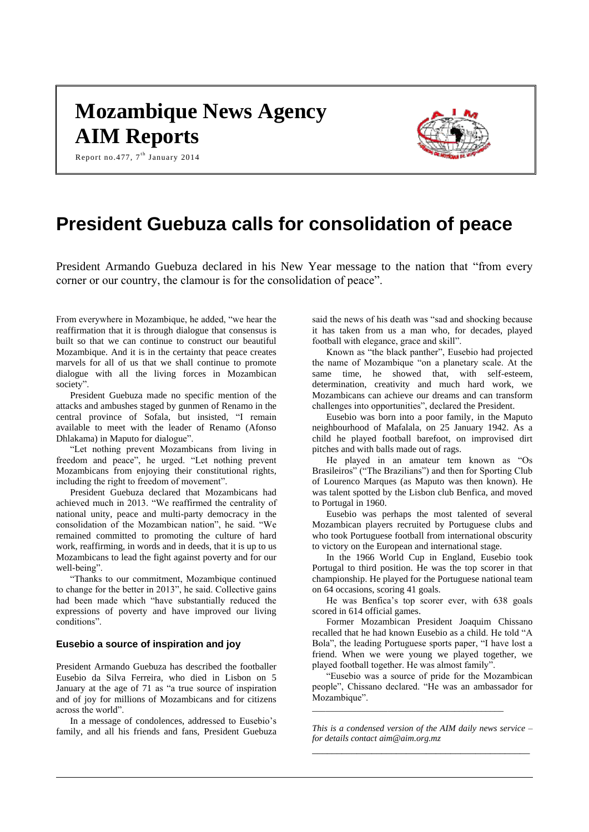# **Mozambique News Agency AIM Reports**



Report no.477,  $7^{\text{th}}$  January 2014

# **President Guebuza calls for consolidation of peace**

President Armando Guebuza declared in his New Year message to the nation that "from every corner or our country, the clamour is for the consolidation of peace".

From everywhere in Mozambique, he added, "we hear the reaffirmation that it is through dialogue that consensus is built so that we can continue to construct our beautiful Mozambique. And it is in the certainty that peace creates marvels for all of us that we shall continue to promote dialogue with all the living forces in Mozambican society".

President Guebuza made no specific mention of the attacks and ambushes staged by gunmen of Renamo in the central province of Sofala, but insisted, "I remain available to meet with the leader of Renamo (Afonso Dhlakama) in Maputo for dialogue".

"Let nothing prevent Mozambicans from living in freedom and peace", he urged. "Let nothing prevent Mozambicans from enjoying their constitutional rights, including the right to freedom of movement".

President Guebuza declared that Mozambicans had achieved much in 2013. "We reaffirmed the centrality of national unity, peace and multi-party democracy in the consolidation of the Mozambican nation", he said. "We remained committed to promoting the culture of hard work, reaffirming, in words and in deeds, that it is up to us Mozambicans to lead the fight against poverty and for our well-being".

"Thanks to our commitment, Mozambique continued to change for the better in 2013", he said. Collective gains had been made which "have substantially reduced the expressions of poverty and have improved our living conditions".

## **Eusebio a source of inspiration and joy**

President Armando Guebuza has described the footballer Eusebio da Silva Ferreira, who died in Lisbon on 5 January at the age of 71 as "a true source of inspiration and of joy for millions of Mozambicans and for citizens across the world".

In a message of condolences, addressed to Eusebio's family, and all his friends and fans, President Guebuza said the news of his death was "sad and shocking because it has taken from us a man who, for decades, played football with elegance, grace and skill".

Known as "the black panther", Eusebio had projected the name of Mozambique "on a planetary scale. At the same time, he showed that, with self-esteem, determination, creativity and much hard work, we Mozambicans can achieve our dreams and can transform challenges into opportunities", declared the President.

Eusebio was born into a poor family, in the Maputo neighbourhood of Mafalala, on 25 January 1942. As a child he played football barefoot, on improvised dirt pitches and with balls made out of rags.

He played in an amateur tem known as "Os Brasileiros" ("The Brazilians") and then for Sporting Club of Lourenco Marques (as Maputo was then known). He was talent spotted by the Lisbon club Benfica, and moved to Portugal in 1960.

Eusebio was perhaps the most talented of several Mozambican players recruited by Portuguese clubs and who took Portuguese football from international obscurity to victory on the European and international stage.

In the 1966 World Cup in England, Eusebio took Portugal to third position. He was the top scorer in that championship. He played for the Portuguese national team on 64 occasions, scoring 41 goals.

He was Benfica's top scorer ever, with 638 goals scored in 614 official games.

Former Mozambican President Joaquim Chissano recalled that he had known Eusebio as a child. He told "A Bola", the leading Portuguese sports paper, "I have lost a friend. When we were young we played together, we played football together. He was almost family".

"Eusebio was a source of pride for the Mozambican people", Chissano declared. "He was an ambassador for Mozambique".

*\_\_\_\_\_\_\_\_\_\_\_\_\_\_\_\_\_\_\_\_\_\_\_\_\_\_\_\_\_\_\_\_\_\_\_\_\_\_\_\_\_\_\_*

*This is a condensed version of the AIM daily news service – for details contac[t aim@aim.org.mz](mailto:aim@aim.org.mz) \_\_\_\_\_\_\_\_\_\_\_\_\_\_\_\_\_\_\_\_\_\_\_\_\_\_\_\_\_\_\_\_\_\_\_\_\_\_\_\_\_\_\_\_*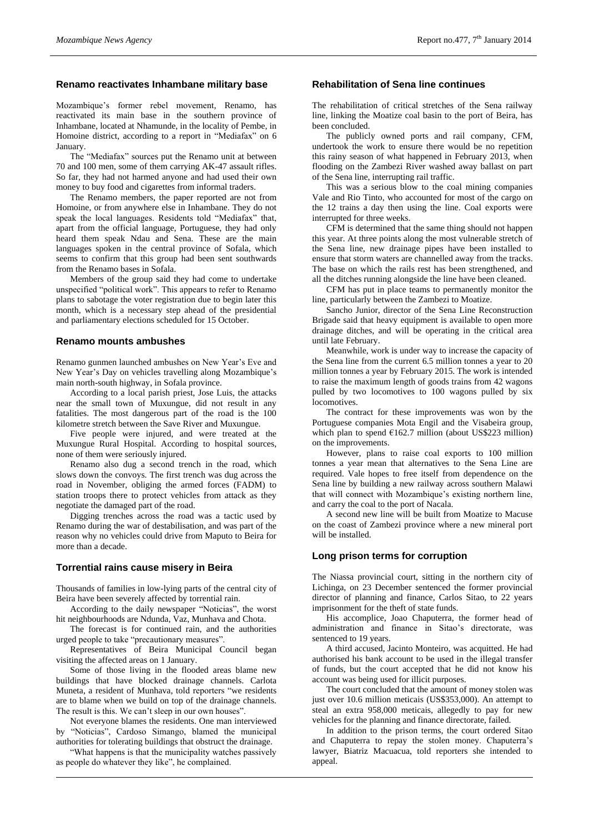#### **Renamo reactivates Inhambane military base**

Mozambique's former rebel movement, Renamo, has reactivated its main base in the southern province of Inhambane, located at Nhamunde, in the locality of Pembe, in Homoine district, according to a report in "Mediafax" on 6 January.

The "Mediafax" sources put the Renamo unit at between 70 and 100 men, some of them carrying AK-47 assault rifles. So far, they had not harmed anyone and had used their own money to buy food and cigarettes from informal traders.

The Renamo members, the paper reported are not from Homoine, or from anywhere else in Inhambane. They do not speak the local languages. Residents told "Mediafax" that, apart from the official language, Portuguese, they had only heard them speak Ndau and Sena. These are the main languages spoken in the central province of Sofala, which seems to confirm that this group had been sent southwards from the Renamo bases in Sofala.

Members of the group said they had come to undertake unspecified "political work". This appears to refer to Renamo plans to sabotage the voter registration due to begin later this month, which is a necessary step ahead of the presidential and parliamentary elections scheduled for 15 October.

#### **Renamo mounts ambushes**

Renamo gunmen launched ambushes on New Year's Eve and New Year's Day on vehicles travelling along Mozambique's main north-south highway, in Sofala province.

According to a local parish priest, Jose Luis, the attacks near the small town of Muxungue, did not result in any fatalities. The most dangerous part of the road is the 100 kilometre stretch between the Save River and Muxungue.

Five people were injured, and were treated at the Muxungue Rural Hospital. According to hospital sources, none of them were seriously injured.

Renamo also dug a second trench in the road, which slows down the convoys. The first trench was dug across the road in November, obliging the armed forces (FADM) to station troops there to protect vehicles from attack as they negotiate the damaged part of the road.

Digging trenches across the road was a tactic used by Renamo during the war of destabilisation, and was part of the reason why no vehicles could drive from Maputo to Beira for more than a decade.

#### **Torrential rains cause misery in Beira**

Thousands of families in low-lying parts of the central city of Beira have been severely affected by torrential rain.

According to the daily newspaper "Noticias", the worst hit neighbourhoods are Ndunda, Vaz, Munhava and Chota.

The forecast is for continued rain, and the authorities urged people to take "precautionary measures".

Representatives of Beira Municipal Council began visiting the affected areas on 1 January.

Some of those living in the flooded areas blame new buildings that have blocked drainage channels. Carlota Muneta, a resident of Munhava, told reporters "we residents are to blame when we build on top of the drainage channels. The result is this. We can't sleep in our own houses".

Not everyone blames the residents. One man interviewed by "Noticias", Cardoso Simango, blamed the municipal authorities for tolerating buildings that obstruct the drainage.

"What happens is that the municipality watches passively as people do whatever they like", he complained.

### **Rehabilitation of Sena line continues**

The rehabilitation of critical stretches of the Sena railway line, linking the Moatize coal basin to the port of Beira, has been concluded.

The publicly owned ports and rail company, CFM, undertook the work to ensure there would be no repetition this rainy season of what happened in February 2013, when flooding on the Zambezi River washed away ballast on part of the Sena line, interrupting rail traffic.

This was a serious blow to the coal mining companies Vale and Rio Tinto, who accounted for most of the cargo on the 12 trains a day then using the line. Coal exports were interrupted for three weeks.

CFM is determined that the same thing should not happen this year. At three points along the most vulnerable stretch of the Sena line, new drainage pipes have been installed to ensure that storm waters are channelled away from the tracks. The base on which the rails rest has been strengthened, and all the ditches running alongside the line have been cleaned.

CFM has put in place teams to permanently monitor the line, particularly between the Zambezi to Moatize.

Sancho Junior, director of the Sena Line Reconstruction Brigade said that heavy equipment is available to open more drainage ditches, and will be operating in the critical area until late February.

Meanwhile, work is under way to increase the capacity of the Sena line from the current 6.5 million tonnes a year to 20 million tonnes a year by February 2015. The work is intended to raise the maximum length of goods trains from 42 wagons pulled by two locomotives to 100 wagons pulled by six locomotives.

The contract for these improvements was won by the Portuguese companies Mota Engil and the Visabeira group, which plan to spend  $E162.7$  million (about US\$223 million) on the improvements.

However, plans to raise coal exports to 100 million tonnes a year mean that alternatives to the Sena Line are required. Vale hopes to free itself from dependence on the Sena line by building a new railway across southern Malawi that will connect with Mozambique's existing northern line, and carry the coal to the port of Nacala.

A second new line will be built from Moatize to Macuse on the coast of Zambezi province where a new mineral port will be installed.

#### **Long prison terms for corruption**

The Niassa provincial court, sitting in the northern city of Lichinga, on 23 December sentenced the former provincial director of planning and finance, Carlos Sitao, to 22 years imprisonment for the theft of state funds.

His accomplice, Joao Chaputerra, the former head of administration and finance in Sitao's directorate, was sentenced to 19 years.

A third accused, Jacinto Monteiro, was acquitted. He had authorised his bank account to be used in the illegal transfer of funds, but the court accepted that he did not know his account was being used for illicit purposes.

The court concluded that the amount of money stolen was just over 10.6 million meticais (US\$353,000). An attempt to steal an extra 958,000 meticais, allegedly to pay for new vehicles for the planning and finance directorate, failed.

In addition to the prison terms, the court ordered Sitao and Chaputerra to repay the stolen money. Chaputerra's lawyer, Biatriz Macuacua, told reporters she intended to appeal.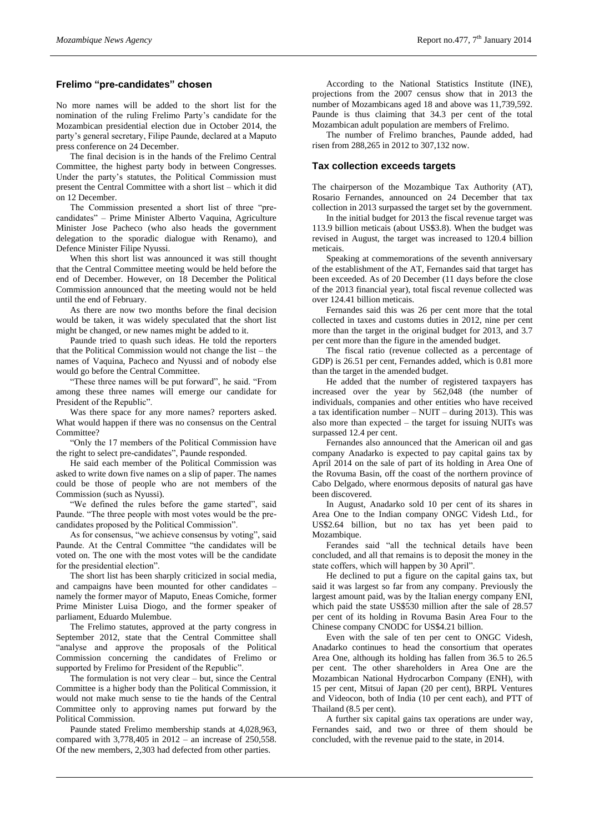# **Frelimo "pre-candidates" chosen**

No more names will be added to the short list for the nomination of the ruling Frelimo Party's candidate for the Mozambican presidential election due in October 2014, the party's general secretary, Filipe Paunde, declared at a Maputo press conference on 24 December.

The final decision is in the hands of the Frelimo Central Committee, the highest party body in between Congresses. Under the party's statutes, the Political Commission must present the Central Committee with a short list – which it did on 12 December.

The Commission presented a short list of three "precandidates" – Prime Minister Alberto Vaquina, Agriculture Minister Jose Pacheco (who also heads the government delegation to the sporadic dialogue with Renamo), and Defence Minister Filipe Nyussi.

When this short list was announced it was still thought that the Central Committee meeting would be held before the end of December. However, on 18 December the Political Commission announced that the meeting would not be held until the end of February.

As there are now two months before the final decision would be taken, it was widely speculated that the short list might be changed, or new names might be added to it.

Paunde tried to quash such ideas. He told the reporters that the Political Commission would not change the list – the names of Vaquina, Pacheco and Nyussi and of nobody else would go before the Central Committee.

"These three names will be put forward", he said. "From among these three names will emerge our candidate for President of the Republic".

Was there space for any more names? reporters asked. What would happen if there was no consensus on the Central Committee?

"Only the 17 members of the Political Commission have the right to select pre-candidates", Paunde responded.

He said each member of the Political Commission was asked to write down five names on a slip of paper. The names could be those of people who are not members of the Commission (such as Nyussi).

"We defined the rules before the game started", said Paunde. "The three people with most votes would be the precandidates proposed by the Political Commission".

As for consensus, "we achieve consensus by voting", said Paunde. At the Central Committee "the candidates will be voted on. The one with the most votes will be the candidate for the presidential election".

The short list has been sharply criticized in social media, and campaigns have been mounted for other candidates – namely the former mayor of Maputo, Eneas Comiche, former Prime Minister Luisa Diogo, and the former speaker of parliament, Eduardo Mulembue.

The Frelimo statutes, approved at the party congress in September 2012, state that the Central Committee shall "analyse and approve the proposals of the Political Commission concerning the candidates of Frelimo or supported by Frelimo for President of the Republic".

The formulation is not very clear – but, since the Central Committee is a higher body than the Political Commission, it would not make much sense to tie the hands of the Central Committee only to approving names put forward by the Political Commission.

Paunde stated Frelimo membership stands at 4,028,963, compared with 3,778,405 in 2012 – an increase of 250,558. Of the new members, 2,303 had defected from other parties.

According to the National Statistics Institute (INE), projections from the 2007 census show that in 2013 the number of Mozambicans aged 18 and above was 11,739,592. Paunde is thus claiming that 34.3 per cent of the total Mozambican adult population are members of Frelimo.

The number of Frelimo branches, Paunde added, had risen from 288,265 in 2012 to 307,132 now.

#### **Tax collection exceeds targets**

The chairperson of the Mozambique Tax Authority (AT), Rosario Fernandes, announced on 24 December that tax collection in 2013 surpassed the target set by the government.

In the initial budget for 2013 the fiscal revenue target was 113.9 billion meticais (about US\$3.8). When the budget was revised in August, the target was increased to 120.4 billion meticais.

Speaking at commemorations of the seventh anniversary of the establishment of the AT, Fernandes said that target has been exceeded. As of 20 December (11 days before the close of the 2013 financial year), total fiscal revenue collected was over 124.41 billion meticais.

Fernandes said this was 26 per cent more that the total collected in taxes and customs duties in 2012, nine per cent more than the target in the original budget for 2013, and 3.7 per cent more than the figure in the amended budget.

The fiscal ratio (revenue collected as a percentage of GDP) is 26.51 per cent, Fernandes added, which is 0.81 more than the target in the amended budget.

He added that the number of registered taxpayers has increased over the year by 562,048 (the number of individuals, companies and other entities who have received a tax identification number – NUIT – during 2013). This was also more than expected – the target for issuing NUITs was surpassed 12.4 per cent.

Fernandes also announced that the American oil and gas company Anadarko is expected to pay capital gains tax by April 2014 on the sale of part of its holding in Area One of the Rovuma Basin, off the coast of the northern province of Cabo Delgado, where enormous deposits of natural gas have been discovered.

In August, Anadarko sold 10 per cent of its shares in Area One to the Indian company ONGC Videsh Ltd., for US\$2.64 billion, but no tax has yet been paid to Mozambique.

Ferandes said "all the technical details have been concluded, and all that remains is to deposit the money in the state coffers, which will happen by 30 April".

He declined to put a figure on the capital gains tax, but said it was largest so far from any company. Previously the largest amount paid, was by the Italian energy company ENI, which paid the state US\$530 million after the sale of 28.57 per cent of its holding in Rovuma Basin Area Four to the Chinese company CNODC for US\$4.21 billion.

Even with the sale of ten per cent to ONGC Videsh, Anadarko continues to head the consortium that operates Area One, although its holding has fallen from 36.5 to 26.5 per cent. The other shareholders in Area One are the Mozambican National Hydrocarbon Company (ENH), with 15 per cent, Mitsui of Japan (20 per cent), BRPL Ventures and Videocon, both of India (10 per cent each), and PTT of Thailand (8.5 per cent).

A further six capital gains tax operations are under way, Fernandes said, and two or three of them should be concluded, with the revenue paid to the state, in 2014.